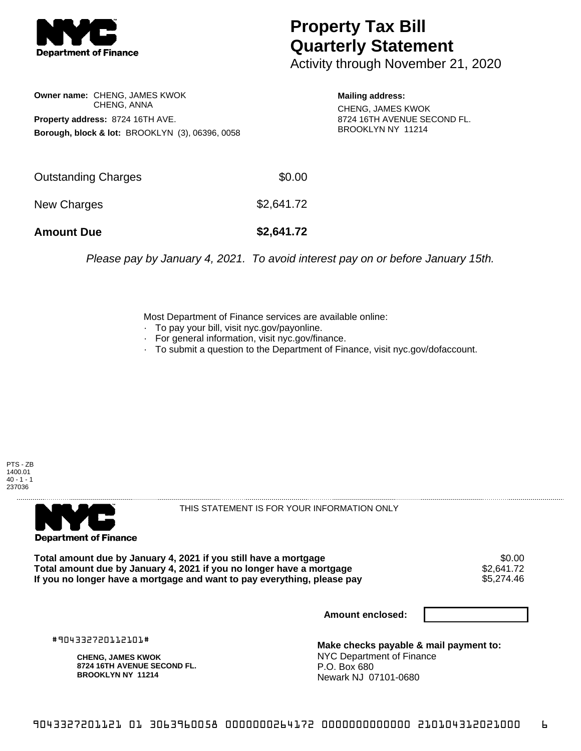

## **Property Tax Bill Quarterly Statement**

Activity through November 21, 2020

**Owner name:** CHENG, JAMES KWOK CHENG, ANNA **Property address:** 8724 16TH AVE. **Borough, block & lot:** BROOKLYN (3), 06396, 0058 **Mailing address:** CHENG, JAMES KWOK

8724 16TH AVENUE SECOND FL. BROOKLYN NY 11214

| Outstanding Charges | \$0.00     |
|---------------------|------------|
| New Charges         | \$2,641.72 |
| <b>Amount Due</b>   | \$2,641.72 |

Please pay by January 4, 2021. To avoid interest pay on or before January 15th.

Most Department of Finance services are available online:

- · To pay your bill, visit nyc.gov/payonline.
- For general information, visit nyc.gov/finance.
- · To submit a question to the Department of Finance, visit nyc.gov/dofaccount.





THIS STATEMENT IS FOR YOUR INFORMATION ONLY

Total amount due by January 4, 2021 if you still have a mortgage \$0.00<br>Total amount due by January 4, 2021 if you no longer have a mortgage \$2.641.72 **Total amount due by January 4, 2021 if you no longer have a mortgage**  $$2,641.72$$ **<br>If you no longer have a mortgage and want to pay everything, please pay**  $$5,274.46$$ If you no longer have a mortgage and want to pay everything, please pay

**Amount enclosed:**

#904332720112101#

**CHENG, JAMES KWOK 8724 16TH AVENUE SECOND FL. BROOKLYN NY 11214**

**Make checks payable & mail payment to:** NYC Department of Finance P.O. Box 680 Newark NJ 07101-0680